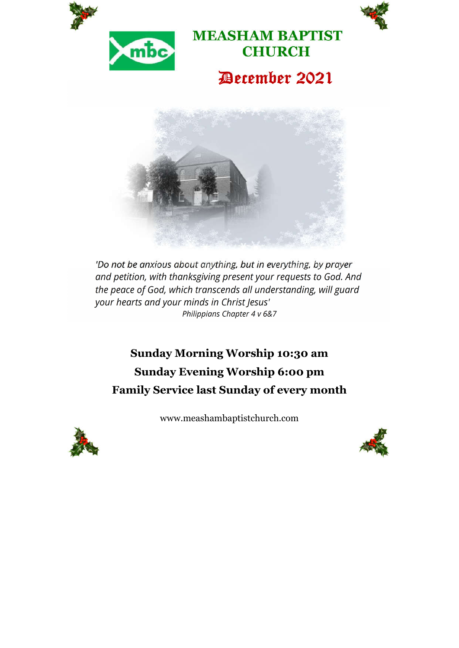



**MEASHAM BAPTIST CHURCH**

# December 2021



*'Do not be anxious about anything, but in everything, by prayer and petition, with thanksgiving present your requests to God. And the peace of God, which transcends all understanding, will guard your hearts and your minds in Christ Jesus' Philippians Chapter 4 v 6&7*

**Sunday Morning Worship 10:30 am Sunday Evening Worship 6:00 pm Family Service last Sunday of every month**

www.meashambaptistchurch.com



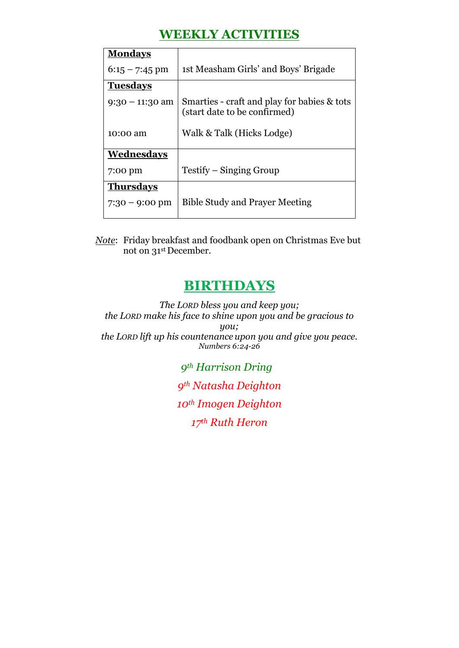### **WEEKLY ACTIVITIES**

| <b>Mondays</b>           |                                                                             |  |
|--------------------------|-----------------------------------------------------------------------------|--|
| $6:15 - 7:45$ pm         | 1st Measham Girls' and Boys' Brigade                                        |  |
| <b>Tuesdays</b>          |                                                                             |  |
| $9:30 - 11:30$ am        | Smarties - craft and play for babies & tots<br>(start date to be confirmed) |  |
| 10:00 am                 | Walk & Talk (Hicks Lodge)                                                   |  |
| Wednesdays               |                                                                             |  |
| 7:00 pm                  | Testify – Singing Group                                                     |  |
| <b>Thursdays</b>         |                                                                             |  |
| $7:30 - 9:00 \text{ pm}$ | <b>Bible Study and Prayer Meeting</b>                                       |  |

*Note*: Friday breakfast and foodbank open on Christmas Eve but not on 31st December.

### **BIRTHDAYS**

*The LORD bless you and keep you; the LORD make his face to shine upon you and be gracious to you; the LORD lift up his countenance upon you and give you peace. Numbers 6:24-26*

> *9th Harrison Dring 9th Natasha Deighton 10th Imogen Deighton 17th Ruth Heron*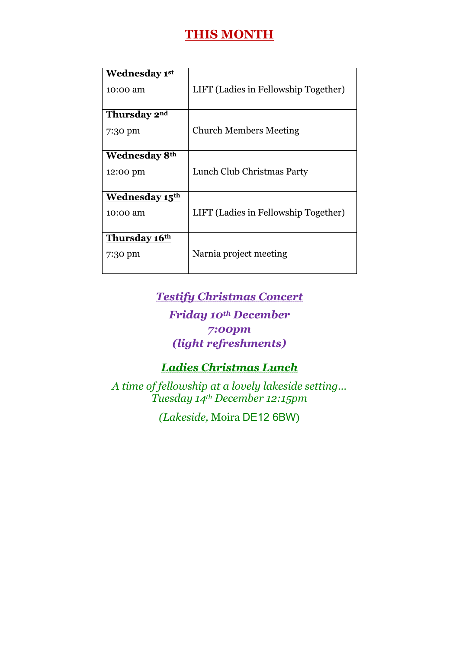### **THIS MONTH**

| <b>Wednesday 1st</b>       |                                      |
|----------------------------|--------------------------------------|
| 10:00 am                   | LIFT (Ladies in Fellowship Together) |
| Thursday 2nd               |                                      |
| 7:30 pm                    | <b>Church Members Meeting</b>        |
| <b>Wednesday 8th</b>       |                                      |
| 12:00 pm                   | Lunch Club Christmas Party           |
| Wednesday 15 <sup>th</sup> |                                      |
| 10:00 am                   | LIFT (Ladies in Fellowship Together) |
| Thursday 16th              |                                      |
| 7:30 pm                    | Narnia project meeting               |

#### *Testify Christmas Concert*

*Friday 10th December 7:00pm (light refreshments)*

#### *Ladies Christmas Lunch*

*A time of fellowship at a lovely lakeside setting… Tuesday 14th December 12:15pm*

*(Lakeside,* Moira DE12 6BW)